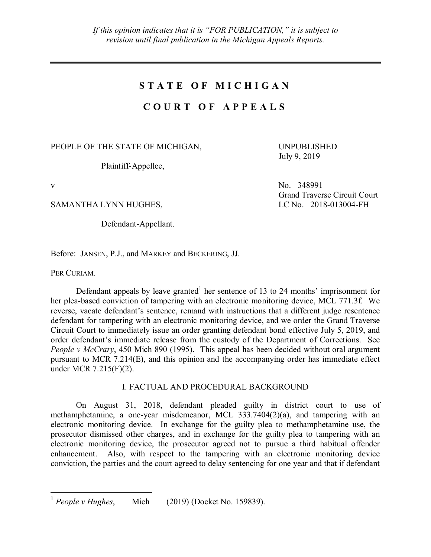### **S T A T E O F M I C H I G A N**

# **C O U R T O F A P P E A L S**

PEOPLE OF THE STATE OF MICHIGAN,

Plaintiff-Appellee,

SAMANTHA LYNN HUGHES,

Defendant-Appellant.

UNPUBLISHED July 9, 2019

v No. 348991 Grand Traverse Circuit Court<br>LC No. 2018-013004-FH

Before: JANSEN, P.J., and MARKEY and BECKERING, JJ.

PER CURIAM.

Defendant appeals by leave granted<sup>1</sup> her sentence of 13 to 24 months' imprisonment for her plea-based conviction of tampering with an electronic monitoring device, MCL 771.3f. We reverse, vacate defendant's sentence, remand with instructions that a different judge resentence defendant for tampering with an electronic monitoring device, and we order the Grand Traverse Circuit Court to immediately issue an order granting defendant bond effective July 5, 2019, and order defendant's immediate release from the custody of the Department of Corrections. See *People v McCrary*, 450 Mich 890 (1995). This appeal has been decided without oral argument pursuant to MCR 7.214(E), and this opinion and the accompanying order has immediate effect under MCR 7.215(F)(2).

### I. FACTUAL AND PROCEDURAL BACKGROUND

On August 31, 2018, defendant pleaded guilty in district court to use of methamphetamine, a one-year misdemeanor, MCL 333.7404(2)(a), and tampering with an electronic monitoring device. In exchange for the guilty plea to methamphetamine use, the prosecutor dismissed other charges, and in exchange for the guilty plea to tampering with an electronic monitoring device, the prosecutor agreed not to pursue a third habitual offender enhancement. Also, with respect to the tampering with an electronic monitoring device conviction, the parties and the court agreed to delay sentencing for one year and that if defendant

<sup>&</sup>lt;sup>1</sup> *People v Hughes*, \_\_\_ Mich \_\_\_ (2019) (Docket No. 159839).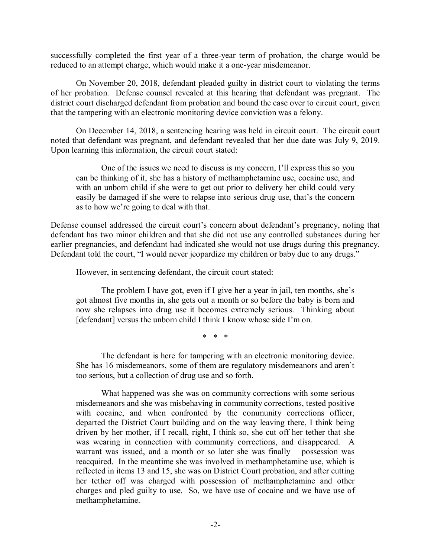successfully completed the first year of a three-year term of probation, the charge would be reduced to an attempt charge, which would make it a one-year misdemeanor.

On November 20, 2018, defendant pleaded guilty in district court to violating the terms of her probation. Defense counsel revealed at this hearing that defendant was pregnant. The district court discharged defendant from probation and bound the case over to circuit court, given that the tampering with an electronic monitoring device conviction was a felony.

On December 14, 2018, a sentencing hearing was held in circuit court. The circuit court noted that defendant was pregnant, and defendant revealed that her due date was July 9, 2019. Upon learning this information, the circuit court stated:

One of the issues we need to discuss is my concern, I'll express this so you can be thinking of it, she has a history of methamphetamine use, cocaine use, and with an unborn child if she were to get out prior to delivery her child could very easily be damaged if she were to relapse into serious drug use, that's the concern as to how we're going to deal with that.

Defense counsel addressed the circuit court's concern about defendant's pregnancy, noting that defendant has two minor children and that she did not use any controlled substances during her earlier pregnancies, and defendant had indicated she would not use drugs during this pregnancy. Defendant told the court, "I would never jeopardize my children or baby due to any drugs."

However, in sentencing defendant, the circuit court stated:

The problem I have got, even if I give her a year in jail, ten months, she's got almost five months in, she gets out a month or so before the baby is born and now she relapses into drug use it becomes extremely serious. Thinking about [defendant] versus the unborn child I think I know whose side I'm on.

\* \* \*

The defendant is here for tampering with an electronic monitoring device. She has 16 misdemeanors, some of them are regulatory misdemeanors and aren't too serious, but a collection of drug use and so forth.

What happened was she was on community corrections with some serious misdemeanors and she was misbehaving in community corrections, tested positive with cocaine, and when confronted by the community corrections officer, departed the District Court building and on the way leaving there, I think being driven by her mother, if I recall, right, I think so, she cut off her tether that she was wearing in connection with community corrections, and disappeared. A warrant was issued, and a month or so later she was finally – possession was reacquired. In the meantime she was involved in methamphetamine use, which is reflected in items 13 and 15, she was on District Court probation, and after cutting her tether off was charged with possession of methamphetamine and other charges and pled guilty to use. So, we have use of cocaine and we have use of methamphetamine.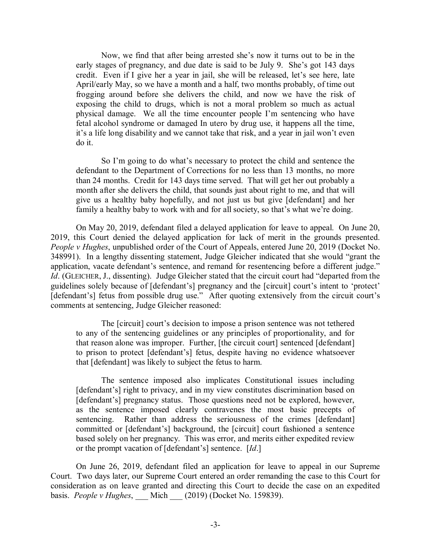Now, we find that after being arrested she's now it turns out to be in the early stages of pregnancy, and due date is said to be July 9. She's got 143 days credit. Even if I give her a year in jail, she will be released, let's see here, late April/early May, so we have a month and a half, two months probably, of time out frogging around before she delivers the child, and now we have the risk of exposing the child to drugs, which is not a moral problem so much as actual physical damage. We all the time encounter people I'm sentencing who have fetal alcohol syndrome or damaged In utero by drug use, it happens all the time, it's a life long disability and we cannot take that risk, and a year in jail won't even do it.

So I'm going to do what's necessary to protect the child and sentence the defendant to the Department of Corrections for no less than 13 months, no more than 24 months. Credit for 143 days time served. That will get her out probably a month after she delivers the child, that sounds just about right to me, and that will give us a healthy baby hopefully, and not just us but give [defendant] and her family a healthy baby to work with and for all society, so that's what we're doing.

On May 20, 2019, defendant filed a delayed application for leave to appeal. On June 20, 2019, this Court denied the delayed application for lack of merit in the grounds presented. *People v Hughes*, unpublished order of the Court of Appeals, entered June 20, 2019 (Docket No. 348991). In a lengthy dissenting statement, Judge Gleicher indicated that she would "grant the application, vacate defendant's sentence, and remand for resentencing before a different judge." *Id*. (GLEICHER, J., dissenting). Judge Gleicher stated that the circuit court had "departed from the guidelines solely because of [defendant's] pregnancy and the [circuit] court's intent to 'protect' [defendant's] fetus from possible drug use." After quoting extensively from the circuit court's comments at sentencing, Judge Gleicher reasoned:

The [circuit] court's decision to impose a prison sentence was not tethered to any of the sentencing guidelines or any principles of proportionality, and for that reason alone was improper. Further, [the circuit court] sentenced [defendant] to prison to protect [defendant's] fetus, despite having no evidence whatsoever that [defendant] was likely to subject the fetus to harm.

The sentence imposed also implicates Constitutional issues including [defendant's] right to privacy, and in my view constitutes discrimination based on [defendant's] pregnancy status. Those questions need not be explored, however, as the sentence imposed clearly contravenes the most basic precepts of sentencing. Rather than address the seriousness of the crimes [defendant] committed or [defendant's] background, the [circuit] court fashioned a sentence based solely on her pregnancy. This was error, and merits either expedited review or the prompt vacation of [defendant's] sentence. [*Id*.]

On June 26, 2019, defendant filed an application for leave to appeal in our Supreme Court. Two days later, our Supreme Court entered an order remanding the case to this Court for consideration as on leave granted and directing this Court to decide the case on an expedited basis. *People v Hughes*, \_\_\_ Mich \_\_\_ (2019) (Docket No. 159839).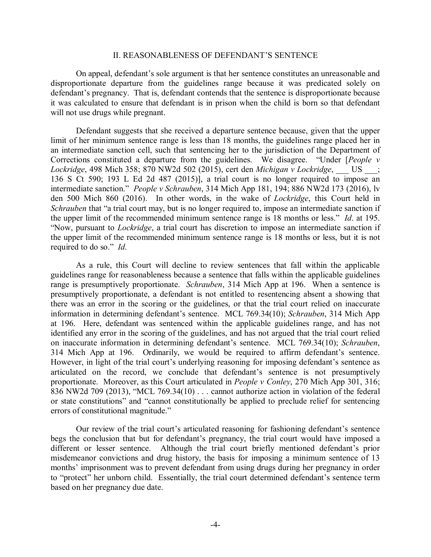#### II. REASONABLENESS OF DEFENDANT'S SENTENCE

On appeal, defendant's sole argument is that her sentence constitutes an unreasonable and disproportionate departure from the guidelines range because it was predicated solely on defendant's pregnancy. That is, defendant contends that the sentence is disproportionate because it was calculated to ensure that defendant is in prison when the child is born so that defendant will not use drugs while pregnant.

Defendant suggests that she received a departure sentence because, given that the upper limit of her minimum sentence range is less than 18 months, the guidelines range placed her in an intermediate sanction cell, such that sentencing her to the jurisdiction of the Department of Corrections constituted a departure from the guidelines. We disagree. "Under [*People v Lockridge*, 498 Mich 358; 870 NW2d 502 (2015), cert den *Michigan v Lockridge*, \_\_\_ US \_\_\_; 136 S Ct 590; 193 L Ed 2d 487 (2015)], a trial court is no longer required to impose an intermediate sanction." *People v Schrauben*, 314 Mich App 181, 194; 886 NW2d 173 (2016), lv den 500 Mich 860 (2016). In other words, in the wake of *Lockridge*, this Court held in *Schrauben* that "a trial court may, but is no longer required to, impose an intermediate sanction if the upper limit of the recommended minimum sentence range is 18 months or less." *Id*. at 195. "Now, pursuant to *Lockridge*, a trial court has discretion to impose an intermediate sanction if the upper limit of the recommended minimum sentence range is 18 months or less, but it is not required to do so." *Id*.

As a rule, this Court will decline to review sentences that fall within the applicable guidelines range for reasonableness because a sentence that falls within the applicable guidelines range is presumptively proportionate. *Schrauben*, 314 Mich App at 196. When a sentence is presumptively proportionate, a defendant is not entitled to resentencing absent a showing that there was an error in the scoring or the guidelines, or that the trial court relied on inaccurate information in determining defendant's sentence. MCL 769.34(10); *Schrauben*, 314 Mich App at 196. Here, defendant was sentenced within the applicable guidelines range, and has not identified any error in the scoring of the guidelines, and has not argued that the trial court relied on inaccurate information in determining defendant's sentence. MCL 769.34(10); *Schrauben*, 314 Mich App at 196. Ordinarily, we would be required to affirm defendant's sentence. However, in light of the trial court's underlying reasoning for imposing defendant's sentence as articulated on the record, we conclude that defendant's sentence is not presumptively proportionate. Moreover, as this Court articulated in *People v Conley*, 270 Mich App 301, 316; 836 NW2d 709 (2013), "MCL 769.34(10) . . . cannot authorize action in violation of the federal or state constitutions" and "cannot constitutionally be applied to preclude relief for sentencing errors of constitutional magnitude."

Our review of the trial court's articulated reasoning for fashioning defendant's sentence begs the conclusion that but for defendant's pregnancy, the trial court would have imposed a different or lesser sentence. Although the trial court briefly mentioned defendant's prior misdemeanor convictions and drug history, the basis for imposing a minimum sentence of 13 months' imprisonment was to prevent defendant from using drugs during her pregnancy in order to "protect" her unborn child. Essentially, the trial court determined defendant's sentence term based on her pregnancy due date.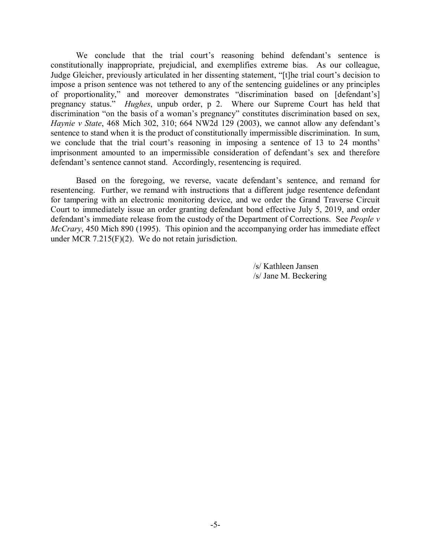We conclude that the trial court's reasoning behind defendant's sentence is constitutionally inappropriate, prejudicial, and exemplifies extreme bias. As our colleague, Judge Gleicher, previously articulated in her dissenting statement, "[t]he trial court's decision to impose a prison sentence was not tethered to any of the sentencing guidelines or any principles of proportionality," and moreover demonstrates "discrimination based on [defendant's] pregnancy status." *Hughes*, unpub order, p 2. Where our Supreme Court has held that discrimination "on the basis of a woman's pregnancy" constitutes discrimination based on sex, *Haynie v State*, 468 Mich 302, 310; 664 NW2d 129 (2003), we cannot allow any defendant's sentence to stand when it is the product of constitutionally impermissible discrimination. In sum, we conclude that the trial court's reasoning in imposing a sentence of 13 to 24 months' imprisonment amounted to an impermissible consideration of defendant's sex and therefore defendant's sentence cannot stand. Accordingly, resentencing is required.

Based on the foregoing, we reverse, vacate defendant's sentence, and remand for resentencing. Further, we remand with instructions that a different judge resentence defendant for tampering with an electronic monitoring device, and we order the Grand Traverse Circuit Court to immediately issue an order granting defendant bond effective July 5, 2019, and order defendant's immediate release from the custody of the Department of Corrections. See *People v McCrary*, 450 Mich 890 (1995). This opinion and the accompanying order has immediate effect under MCR 7.215(F)(2). We do not retain jurisdiction.

> /s/ Kathleen Jansen /s/ Jane M. Beckering